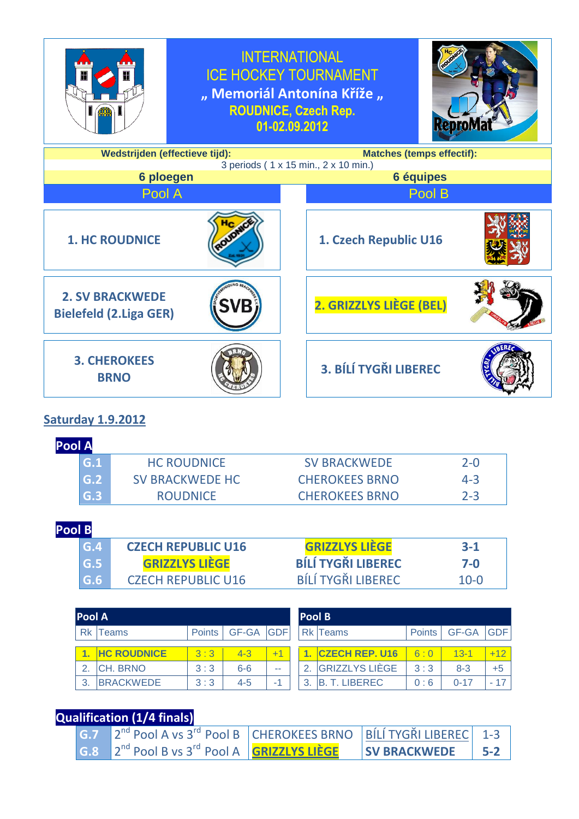

**Saturday 1.9.2012**

**Pool A**

| .   |                        |                       |         |  |  |  |  |
|-----|------------------------|-----------------------|---------|--|--|--|--|
| G.1 | <b>HC ROUDNICE</b>     | <b>SV BRACKWEDE</b>   | $2 - 0$ |  |  |  |  |
| G.2 | <b>SV BRACKWEDE HC</b> | <b>CHEROKEES BRNO</b> | 4-3     |  |  |  |  |
| G.3 | <b>ROUDNICE</b>        | <b>CHEROKEES BRNO</b> | $7 - 3$ |  |  |  |  |

### **Pool B**

| G.4                       | <b>CZECH REPUBLIC U16</b> | <b>GRIZZLYS LIEGE</b>     | $3-1$    |
|---------------------------|---------------------------|---------------------------|----------|
| G.5                       | <b>GRIZZLYS LIÈGE</b>     | <b>BÍLÍ TYGŘI LIBEREC</b> | 7-0      |
| $\overline{\mathsf{G.6}}$ | <b>CZECH REPUBLIC U16</b> | <b>BÍLÍ TYGŘI LIBEREC</b> | $10 - 0$ |

| <b>Pool A</b> |                    |               |           | <b>Pool B</b> |   |                       |               |              |          |
|---------------|--------------------|---------------|-----------|---------------|---|-----------------------|---------------|--------------|----------|
| <b>Rk</b>     | eams               | <b>Points</b> | GF-GA GDF |               |   | Rk Teams              | <b>Points</b> | <b>GF-GA</b> | GDF.     |
|               | <b>HC ROUDNICE</b> | 3:3           | $4 - 3$   |               |   | <b>CZECH REP. U16</b> | 6:0           | $13 - 1$     | $+12$    |
| $\mathbf{2}$  | ICH. BRNO          | 3:3           | $6-6$     | --            |   | <b>GRIZZLYS LIÈGE</b> | 3:3           | $8 - 3$      | $+5$     |
| 3             | <b>BRACKWEDE</b>   | 3:3           | $4 - 5$   | жf            | 3 | T. LIBEREC            | 0:6           | $0 - 17$     | 17<br>a. |

# **Qualification (1/4 finals)**

|  | $\left  \frac{1}{100} \right $ $2^{nd}$ Pool A vs 3 <sup>rd</sup> Pool B $\left $ CHEROKEES BRNO $\left  \right $ BILI TYGRI LIBEREC 1-3                          |                     |                    |
|--|-------------------------------------------------------------------------------------------------------------------------------------------------------------------|---------------------|--------------------|
|  | $\left  \begin{array}{cc} G.8 & 2^{nd} \end{array} \right $ Pool B vs 3 <sup>rd</sup> Pool A $\left  \begin{array}{cc} \text{GRIZZLYS LIÈGE} \end{array} \right $ | <b>SV BRACKWEDE</b> | $\frac{1}{5}$ 5-2. |